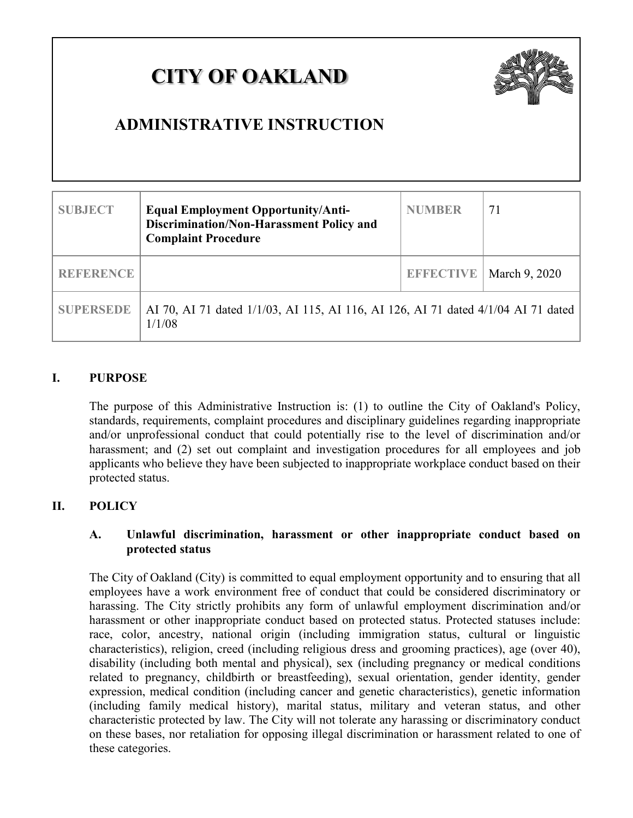# **CITY OF OAKLAND**



## **ADMINISTRATIVE INSTRUCTION**

| <b>SUBJECT</b>   | <b>Equal Employment Opportunity/Anti-</b><br>Discrimination/Non-Harassment Policy and<br><b>Complaint Procedure</b> | <b>NUMBER</b>    | 71            |
|------------------|---------------------------------------------------------------------------------------------------------------------|------------------|---------------|
| <b>REFERENCE</b> |                                                                                                                     | <b>EFFECTIVE</b> | March 9, 2020 |
| <b>SUPERSEDE</b> | AI 70, AI 71 dated 1/1/03, AI 115, AI 116, AI 126, AI 71 dated 4/1/04 AI 71 dated<br>1/1/08                         |                  |               |

#### **I. PURPOSE**

The purpose of this Administrative Instruction is: (1) to outline the City of Oakland's Policy, standards, requirements, complaint procedures and disciplinary guidelines regarding inappropriate and/or unprofessional conduct that could potentially rise to the level of discrimination and/or harassment; and (2) set out complaint and investigation procedures for all employees and job applicants who believe they have been subjected to inappropriate workplace conduct based on their protected status.

#### **II. POLICY**

#### **A. Unlawful discrimination, harassment or other inappropriate conduct based on protected status**

The City of Oakland (City) is committed to equal employment opportunity and to ensuring that all employees have a work environment free of conduct that could be considered discriminatory or harassing. The City strictly prohibits any form of unlawful employment discrimination and/or harassment or other inappropriate conduct based on protected status. Protected statuses include: race, color, ancestry, national origin (including immigration status, cultural or linguistic characteristics), religion, creed (including religious dress and grooming practices), age (over 40), disability (including both mental and physical), sex (including pregnancy or medical conditions related to pregnancy, childbirth or breastfeeding), sexual orientation, gender identity, gender expression, medical condition (including cancer and genetic characteristics), genetic information (including family medical history), marital status, military and veteran status, and other characteristic protected by law. The City will not tolerate any harassing or discriminatory conduct on these bases, nor retaliation for opposing illegal discrimination or harassment related to one of these categories.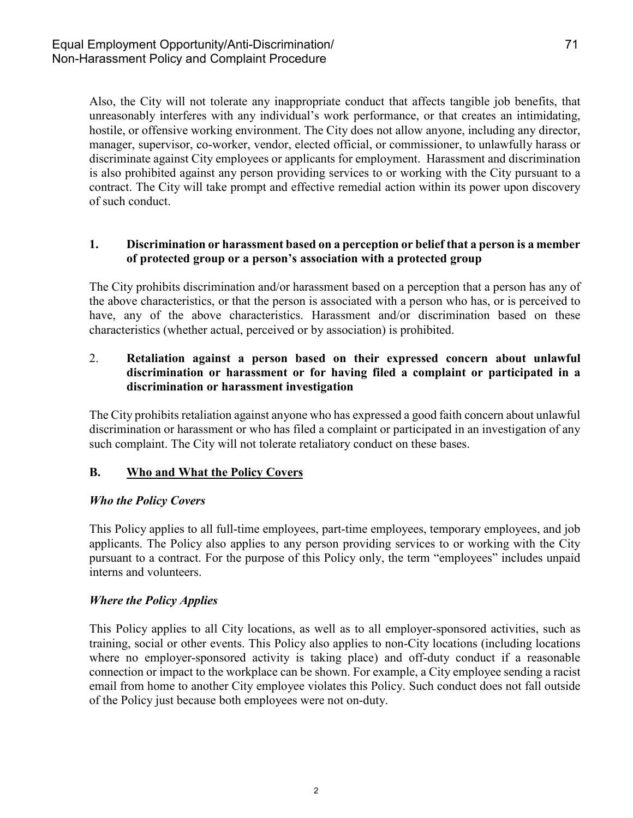Also, the City will not tolerate any inappropriate conduct that affects tangible job benefits, that unreasonably interferes with any individual's work performance, or that creates an intimidating, hostile, or offensive working environment. The City does not allow anyone, including any director, manager, supervisor, co-worker, vendor, elected official, or commissioner, to unlawfully harass or discriminate against City employees or applicants for employment. Harassment and discrimination is also prohibited against any person providing services to or working with the City pursuant to a contract. The City will take prompt and effective remedial action within its power upon discovery of such conduct.

#### **1. Discrimination or harassment based on a perception or belief that a person is a member of protected group or a person's association with a protected group**

The City prohibits discrimination and/or harassment based on a perception that a person has any of the above characteristics, or that the person is associated with a person who has, or is perceived to have, any of the above characteristics. Harassment and/or discrimination based on these characteristics (whether actual, perceived or by association) is prohibited.

#### 2. **Retaliation against a person based on their expressed concern about unlawful discrimination or harassment or for having filed a complaint or participated in a discrimination or harassment investigation**

The City prohibits retaliation against anyone who has expressed a good faith concern about unlawful discrimination or harassment or who has filed a complaint or participated in an investigation of any such complaint. The City will not tolerate retaliatory conduct on these bases.

#### **B. Who and What the Policy Covers**

#### *Who the Policy Covers*

This Policy applies to all full-time employees, part-time employees, temporary employees, and job applicants. The Policy also applies to any person providing services to or working with the City pursuant to a contract. For the purpose of this Policy only, the term "employees" includes unpaid interns and volunteers.

#### *Where the Policy Applies*

This Policy applies to all City locations, as well as to all employer-sponsored activities, such as training, social or other events. This Policy also applies to non-City locations (including locations where no employer-sponsored activity is taking place) and off-duty conduct if a reasonable connection or impact to the workplace can be shown. For example, a City employee sending a racist email from home to another City employee violates this Policy. Such conduct does not fall outside of the Policy just because both employees were not on-duty.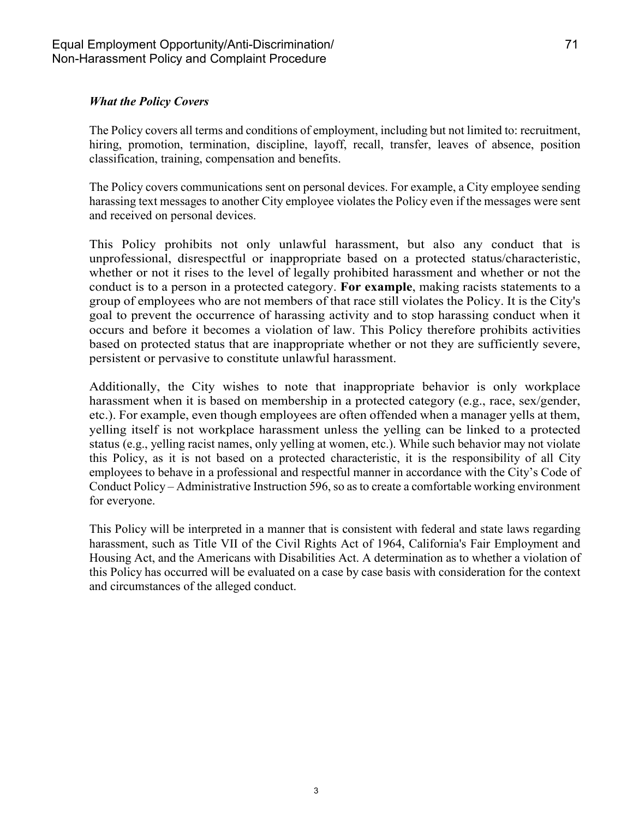#### *What the Policy Covers*

The Policy covers all terms and conditions of employment, including but not limited to: recruitment, hiring, promotion, termination, discipline, layoff, recall, transfer, leaves of absence, position classification, training, compensation and benefits.

The Policy covers communications sent on personal devices. For example, a City employee sending harassing text messages to another City employee violates the Policy even if the messages were sent and received on personal devices.

This Policy prohibits not only unlawful harassment, but also any conduct that is unprofessional, disrespectful or inappropriate based on a protected status/characteristic, whether or not it rises to the level of legally prohibited harassment and whether or not the conduct is to a person in a protected category. **For example**, making racists statements to a group of employees who are not members of that race still violates the Policy. It is the City's goal to prevent the occurrence of harassing activity and to stop harassing conduct when it occurs and before it becomes a violation of law. This Policy therefore prohibits activities based on protected status that are inappropriate whether or not they are sufficiently severe, persistent or pervasive to constitute unlawful harassment.

Additionally, the City wishes to note that inappropriate behavior is only workplace harassment when it is based on membership in a protected category (e.g., race, sex/gender, etc.). For example, even though employees are often offended when a manager yells at them, yelling itself is not workplace harassment unless the yelling can be linked to a protected status (e.g., yelling racist names, only yelling at women, etc.). While such behavior may not violate this Policy, as it is not based on a protected characteristic, it is the responsibility of all City employees to behave in a professional and respectful manner in accordance with the City's Code of Conduct Policy – Administrative Instruction 596, so as to create a comfortable working environment for everyone.

This Policy will be interpreted in a manner that is consistent with federal and state laws regarding harassment, such as Title VII of the Civil Rights Act of 1964, California's Fair Employment and Housing Act, and the Americans with Disabilities Act. A determination as to whether a violation of this Policy has occurred will be evaluated on a case by case basis with consideration for the context and circumstances of the alleged conduct.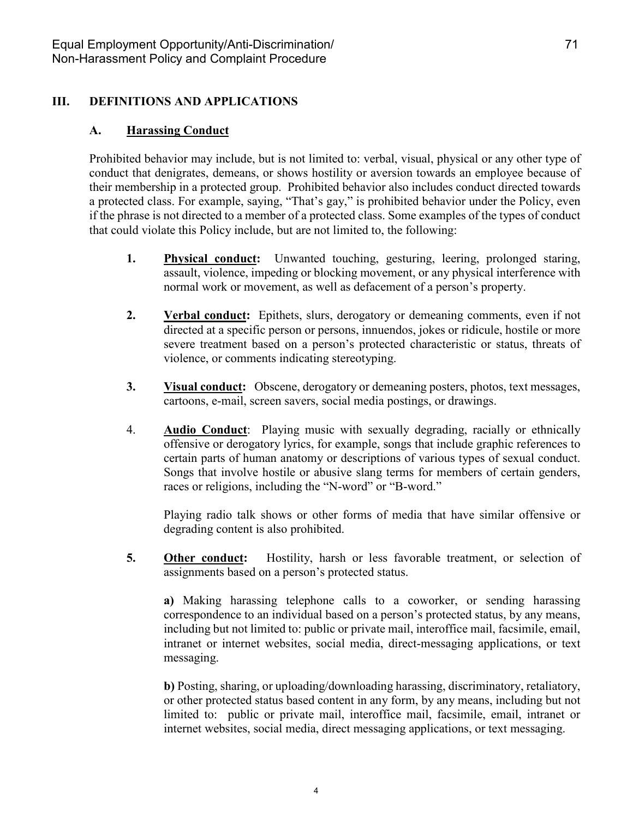#### **III. DEFINITIONS AND APPLICATIONS**

#### **A. Harassing Conduct**

Prohibited behavior may include, but is not limited to: verbal, visual, physical or any other type of conduct that denigrates, demeans, or shows hostility or aversion towards an employee because of their membership in a protected group. Prohibited behavior also includes conduct directed towards a protected class. For example, saying, "That's gay," is prohibited behavior under the Policy, even if the phrase is not directed to a member of a protected class. Some examples of the types of conduct that could violate this Policy include, but are not limited to, the following:

- **1. Physical conduct:** Unwanted touching, gesturing, leering, prolonged staring, assault, violence, impeding or blocking movement, or any physical interference with normal work or movement, as well as defacement of a person's property.
- **2. Verbal conduct:** Epithets, slurs, derogatory or demeaning comments, even if not directed at a specific person or persons, innuendos, jokes or ridicule, hostile or more severe treatment based on a person's protected characteristic or status, threats of violence, or comments indicating stereotyping.
- **3. Visual conduct:** Obscene, derogatory or demeaning posters, photos, text messages, cartoons, e-mail, screen savers, social media postings, or drawings.
- 4. **Audio Conduct**: Playing music with sexually degrading, racially or ethnically offensive or derogatory lyrics, for example, songs that include graphic references to certain parts of human anatomy or descriptions of various types of sexual conduct. Songs that involve hostile or abusive slang terms for members of certain genders, races or religions, including the "N-word" or "B-word."

Playing radio talk shows or other forms of media that have similar offensive or degrading content is also prohibited.

**5. Other conduct:** Hostility, harsh or less favorable treatment, or selection of assignments based on a person's protected status.

**a)** Making harassing telephone calls to a coworker, or sending harassing correspondence to an individual based on a person's protected status, by any means, including but not limited to: public or private mail, interoffice mail, facsimile, email, intranet or internet websites, social media, direct-messaging applications, or text messaging.

**b)** Posting, sharing, or uploading/downloading harassing, discriminatory, retaliatory, or other protected status based content in any form, by any means, including but not limited to: public or private mail, interoffice mail, facsimile, email, intranet or internet websites, social media, direct messaging applications, or text messaging.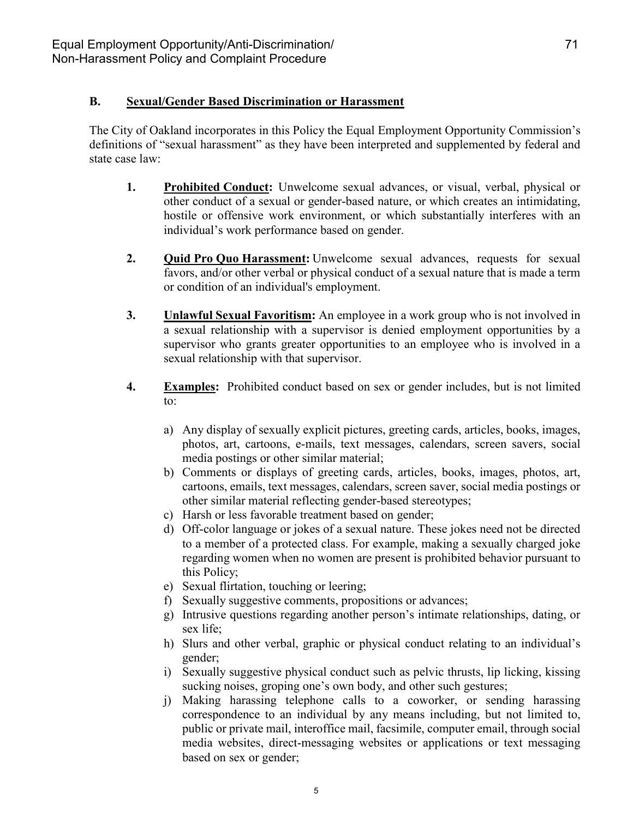#### **B. Sexual/Gender Based Discrimination or Harassment**

The City of Oakland incorporates in this Policy the Equal Employment Opportunity Commission's definitions of "sexual harassment" as they have been interpreted and supplemented by federal and state case law:

- **1. Prohibited Conduct:** Unwelcome sexual advances, or visual, verbal, physical or other conduct of a sexual or gender-based nature, or which creates an intimidating, hostile or offensive work environment, or which substantially interferes with an individual's work performance based on gender.
- **2. Quid Pro Quo Harassment:** Unwelcome sexual advances, requests for sexual favors, and/or other verbal or physical conduct of a sexual nature that is made a term or condition of an individual's employment.
- **3. Unlawful Sexual Favoritism:** An employee in a work group who is not involved in a sexual relationship with a supervisor is denied employment opportunities by a supervisor who grants greater opportunities to an employee who is involved in a sexual relationship with that supervisor.
- **4. Examples:** Prohibited conduct based on sex or gender includes, but is not limited to:
	- a) Any display of sexually explicit pictures, greeting cards, articles, books, images, photos, art, cartoons, e-mails, text messages, calendars, screen savers, social media postings or other similar material;
	- b) Comments or displays of greeting cards, articles, books, images, photos, art, cartoons, emails, text messages, calendars, screen saver, social media postings or other similar material reflecting gender-based stereotypes;
	- c) Harsh or less favorable treatment based on gender;
	- d) Off-color language or jokes of a sexual nature. These jokes need not be directed to a member of a protected class. For example, making a sexually charged joke regarding women when no women are present is prohibited behavior pursuant to this Policy;
	- e) Sexual flirtation, touching or leering;
	- f) Sexually suggestive comments, propositions or advances;
	- g) Intrusive questions regarding another person's intimate relationships, dating, or sex life;
	- h) Slurs and other verbal, graphic or physical conduct relating to an individual's gender;
	- i) Sexually suggestive physical conduct such as pelvic thrusts, lip licking, kissing sucking noises, groping one's own body, and other such gestures;
	- j) Making harassing telephone calls to a coworker, or sending harassing correspondence to an individual by any means including, but not limited to, public or private mail, interoffice mail, facsimile, computer email, through social media websites, direct-messaging websites or applications or text messaging based on sex or gender;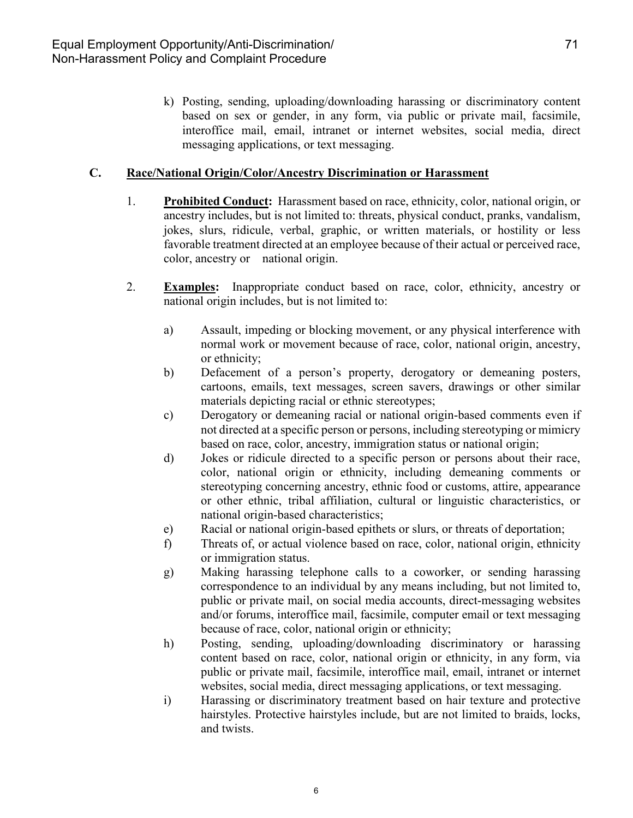k) Posting, sending, uploading/downloading harassing or discriminatory content based on sex or gender, in any form, via public or private mail, facsimile, interoffice mail, email, intranet or internet websites, social media, direct messaging applications, or text messaging.

#### **C. Race/National Origin/Color/Ancestry Discrimination or Harassment**

- 1. **Prohibited Conduct:** Harassment based on race, ethnicity, color, national origin, or ancestry includes, but is not limited to: threats, physical conduct, pranks, vandalism, jokes, slurs, ridicule, verbal, graphic, or written materials, or hostility or less favorable treatment directed at an employee because of their actual or perceived race, color, ancestry or national origin.
- 2. **Examples:** Inappropriate conduct based on race, color, ethnicity, ancestry or national origin includes, but is not limited to:
	- a) Assault, impeding or blocking movement, or any physical interference with normal work or movement because of race, color, national origin, ancestry, or ethnicity;
	- b) Defacement of a person's property, derogatory or demeaning posters, cartoons, emails, text messages, screen savers, drawings or other similar materials depicting racial or ethnic stereotypes;
	- c) Derogatory or demeaning racial or national origin-based comments even if not directed at a specific person or persons, including stereotyping or mimicry based on race, color, ancestry, immigration status or national origin;
	- d) Jokes or ridicule directed to a specific person or persons about their race, color, national origin or ethnicity, including demeaning comments or stereotyping concerning ancestry, ethnic food or customs, attire, appearance or other ethnic, tribal affiliation, cultural or linguistic characteristics, or national origin-based characteristics;
	- e) Racial or national origin-based epithets or slurs, or threats of deportation;
	- f) Threats of, or actual violence based on race, color, national origin, ethnicity or immigration status.
	- g) Making harassing telephone calls to a coworker, or sending harassing correspondence to an individual by any means including, but not limited to, public or private mail, on social media accounts, direct-messaging websites and/or forums, interoffice mail, facsimile, computer email or text messaging because of race, color, national origin or ethnicity;
	- h) Posting, sending, uploading/downloading discriminatory or harassing content based on race, color, national origin or ethnicity, in any form, via public or private mail, facsimile, interoffice mail, email, intranet or internet websites, social media, direct messaging applications, or text messaging.
	- i) Harassing or discriminatory treatment based on hair texture and protective hairstyles. Protective hairstyles include, but are not limited to braids, locks, and twists.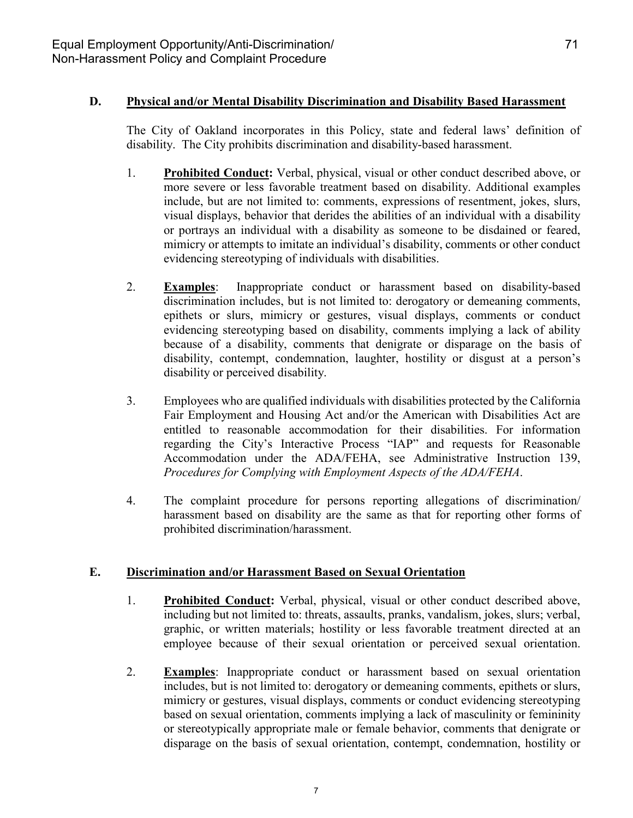#### **D. Physical and/or Mental Disability Discrimination and Disability Based Harassment**

The City of Oakland incorporates in this Policy, state and federal laws' definition of disability. The City prohibits discrimination and disability-based harassment.

- 1. **Prohibited Conduct:** Verbal, physical, visual or other conduct described above, or more severe or less favorable treatment based on disability. Additional examples include, but are not limited to: comments, expressions of resentment, jokes, slurs, visual displays, behavior that derides the abilities of an individual with a disability or portrays an individual with a disability as someone to be disdained or feared, mimicry or attempts to imitate an individual's disability, comments or other conduct evidencing stereotyping of individuals with disabilities.
- 2. **Examples**: Inappropriate conduct or harassment based on disability-based discrimination includes, but is not limited to: derogatory or demeaning comments, epithets or slurs, mimicry or gestures, visual displays, comments or conduct evidencing stereotyping based on disability, comments implying a lack of ability because of a disability, comments that denigrate or disparage on the basis of disability, contempt, condemnation, laughter, hostility or disgust at a person's disability or perceived disability.
- 3. Employees who are qualified individuals with disabilities protected by the California Fair Employment and Housing Act and/or the American with Disabilities Act are entitled to reasonable accommodation for their disabilities. For information regarding the City's Interactive Process "IAP" and requests for Reasonable Accommodation under the ADA/FEHA, see Administrative Instruction 139, *Procedures for Complying with Employment Aspects of the ADA/FEHA*.
- 4. The complaint procedure for persons reporting allegations of discrimination/ harassment based on disability are the same as that for reporting other forms of prohibited discrimination/harassment.

#### **E. Discrimination and/or Harassment Based on Sexual Orientation**

- 1. **Prohibited Conduct:** Verbal, physical, visual or other conduct described above, including but not limited to: threats, assaults, pranks, vandalism, jokes, slurs; verbal, graphic, or written materials; hostility or less favorable treatment directed at an employee because of their sexual orientation or perceived sexual orientation.
- 2. **Examples**: Inappropriate conduct or harassment based on sexual orientation includes, but is not limited to: derogatory or demeaning comments, epithets or slurs, mimicry or gestures, visual displays, comments or conduct evidencing stereotyping based on sexual orientation, comments implying a lack of masculinity or femininity or stereotypically appropriate male or female behavior, comments that denigrate or disparage on the basis of sexual orientation, contempt, condemnation, hostility or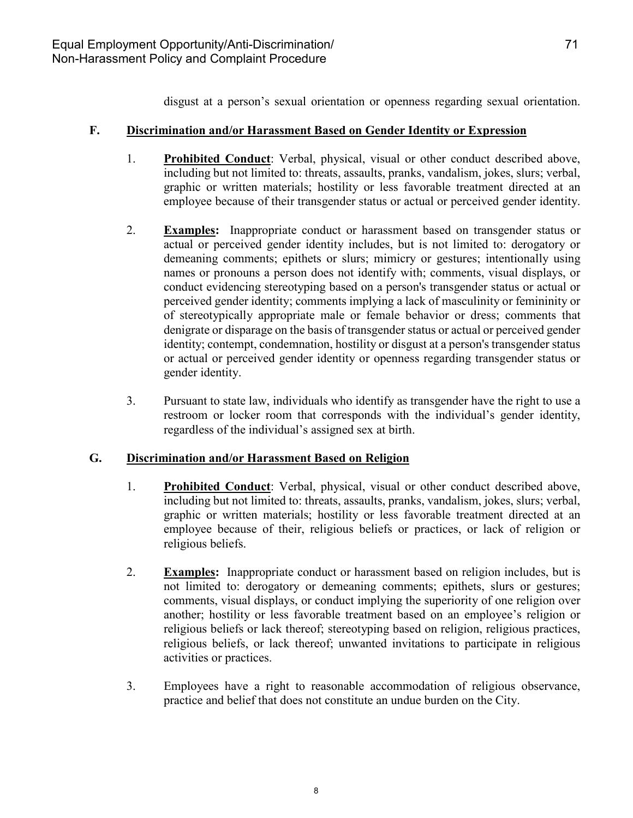disgust at a person's sexual orientation or openness regarding sexual orientation.

#### **F. Discrimination and/or Harassment Based on Gender Identity or Expression**

- 1. **Prohibited Conduct**: Verbal, physical, visual or other conduct described above, including but not limited to: threats, assaults, pranks, vandalism, jokes, slurs; verbal, graphic or written materials; hostility or less favorable treatment directed at an employee because of their transgender status or actual or perceived gender identity.
- 2. **Examples:** Inappropriate conduct or harassment based on transgender status or actual or perceived gender identity includes, but is not limited to: derogatory or demeaning comments; epithets or slurs; mimicry or gestures; intentionally using names or pronouns a person does not identify with; comments, visual displays, or conduct evidencing stereotyping based on a person's transgender status or actual or perceived gender identity; comments implying a lack of masculinity or femininity or of stereotypically appropriate male or female behavior or dress; comments that denigrate or disparage on the basis of transgender status or actual or perceived gender identity; contempt, condemnation, hostility or disgust at a person's transgender status or actual or perceived gender identity or openness regarding transgender status or gender identity.
- 3. Pursuant to state law, individuals who identify as transgender have the right to use a restroom or locker room that corresponds with the individual's gender identity, regardless of the individual's assigned sex at birth.

#### **G. Discrimination and/or Harassment Based on Religion**

- 1. **Prohibited Conduct**: Verbal, physical, visual or other conduct described above, including but not limited to: threats, assaults, pranks, vandalism, jokes, slurs; verbal, graphic or written materials; hostility or less favorable treatment directed at an employee because of their, religious beliefs or practices, or lack of religion or religious beliefs.
- 2. **Examples:** Inappropriate conduct or harassment based on religion includes, but is not limited to: derogatory or demeaning comments; epithets, slurs or gestures; comments, visual displays, or conduct implying the superiority of one religion over another; hostility or less favorable treatment based on an employee's religion or religious beliefs or lack thereof; stereotyping based on religion, religious practices, religious beliefs, or lack thereof; unwanted invitations to participate in religious activities or practices.
- 3. Employees have a right to reasonable accommodation of religious observance, practice and belief that does not constitute an undue burden on the City.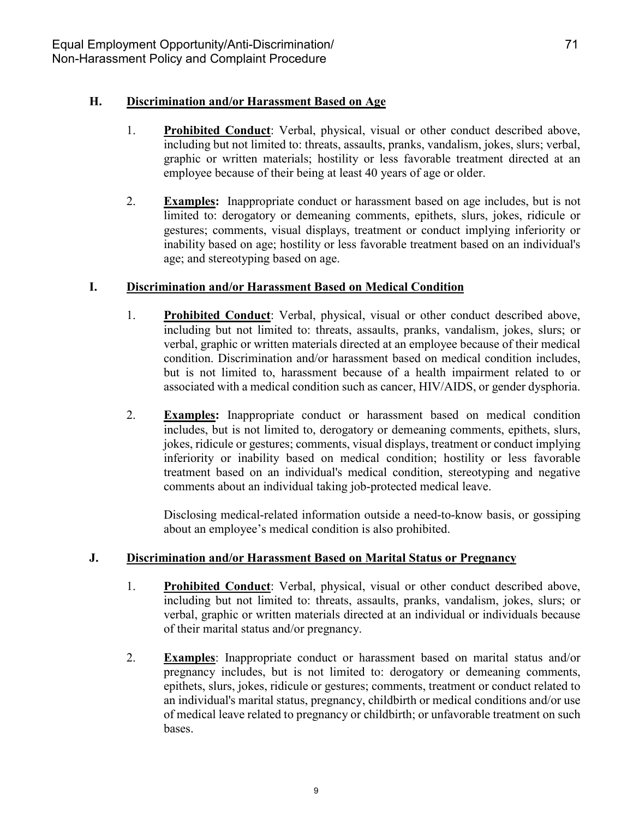#### **H. Discrimination and/or Harassment Based on Age**

- 1. **Prohibited Conduct**: Verbal, physical, visual or other conduct described above, including but not limited to: threats, assaults, pranks, vandalism, jokes, slurs; verbal, graphic or written materials; hostility or less favorable treatment directed at an employee because of their being at least 40 years of age or older.
- 2. **Examples:** Inappropriate conduct or harassment based on age includes, but is not limited to: derogatory or demeaning comments, epithets, slurs, jokes, ridicule or gestures; comments, visual displays, treatment or conduct implying inferiority or inability based on age; hostility or less favorable treatment based on an individual's age; and stereotyping based on age.

#### **I. Discrimination and/or Harassment Based on Medical Condition**

- 1. **Prohibited Conduct**: Verbal, physical, visual or other conduct described above, including but not limited to: threats, assaults, pranks, vandalism, jokes, slurs; or verbal, graphic or written materials directed at an employee because of their medical condition. Discrimination and/or harassment based on medical condition includes, but is not limited to, harassment because of a health impairment related to or associated with a medical condition such as cancer, HIV/AIDS, or gender dysphoria.
- 2. **Examples:** Inappropriate conduct or harassment based on medical condition includes, but is not limited to, derogatory or demeaning comments, epithets, slurs, jokes, ridicule or gestures; comments, visual displays, treatment or conduct implying inferiority or inability based on medical condition; hostility or less favorable treatment based on an individual's medical condition, stereotyping and negative comments about an individual taking job-protected medical leave.

Disclosing medical-related information outside a need-to-know basis, or gossiping about an employee's medical condition is also prohibited.

#### **J. Discrimination and/or Harassment Based on Marital Status or Pregnancy**

- 1. **Prohibited Conduct**: Verbal, physical, visual or other conduct described above, including but not limited to: threats, assaults, pranks, vandalism, jokes, slurs; or verbal, graphic or written materials directed at an individual or individuals because of their marital status and/or pregnancy.
- 2. **Examples**: Inappropriate conduct or harassment based on marital status and/or pregnancy includes, but is not limited to: derogatory or demeaning comments, epithets, slurs, jokes, ridicule or gestures; comments, treatment or conduct related to an individual's marital status, pregnancy, childbirth or medical conditions and/or use of medical leave related to pregnancy or childbirth; or unfavorable treatment on such bases.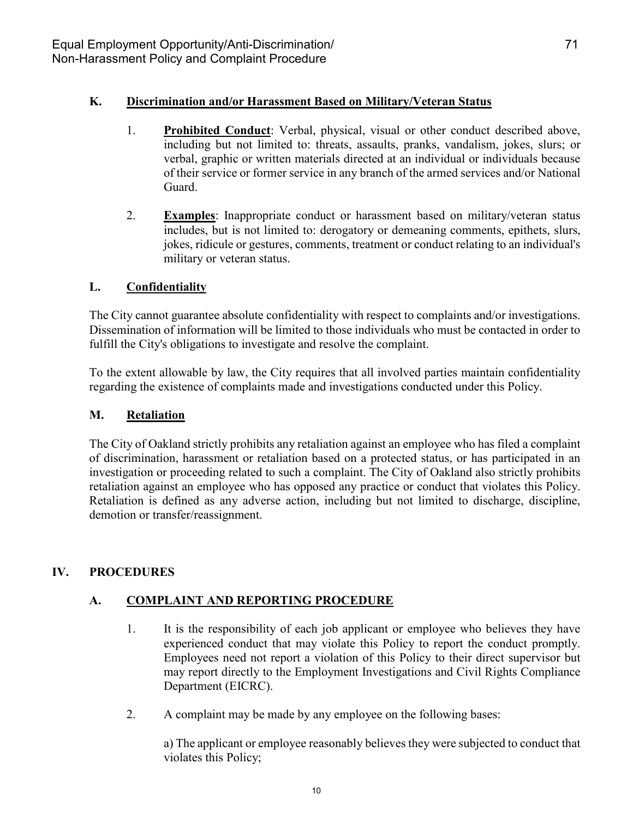#### **K. Discrimination and/or Harassment Based on Military/Veteran Status**

- 1. **Prohibited Conduct**: Verbal, physical, visual or other conduct described above, including but not limited to: threats, assaults, pranks, vandalism, jokes, slurs; or verbal, graphic or written materials directed at an individual or individuals because of their service or former service in any branch of the armed services and/or National Guard.
- 2. **Examples**: Inappropriate conduct or harassment based on military/veteran status includes, but is not limited to: derogatory or demeaning comments, epithets, slurs, jokes, ridicule or gestures, comments, treatment or conduct relating to an individual's military or veteran status.

#### **L. Confidentiality**

The City cannot guarantee absolute confidentiality with respect to complaints and/or investigations. Dissemination of information will be limited to those individuals who must be contacted in order to fulfill the City's obligations to investigate and resolve the complaint.

To the extent allowable by law, the City requires that all involved parties maintain confidentiality regarding the existence of complaints made and investigations conducted under this Policy.

#### **M. Retaliation**

The City of Oakland strictly prohibits any retaliation against an employee who has filed a complaint of discrimination, harassment or retaliation based on a protected status, or has participated in an investigation or proceeding related to such a complaint. The City of Oakland also strictly prohibits retaliation against an employee who has opposed any practice or conduct that violates this Policy. Retaliation is defined as any adverse action, including but not limited to discharge, discipline, demotion or transfer/reassignment.

#### **IV. PROCEDURES**

#### **A. COMPLAINT AND REPORTING PROCEDURE**

- 1. It is the responsibility of each job applicant or employee who believes they have experienced conduct that may violate this Policy to report the conduct promptly. Employees need not report a violation of this Policy to their direct supervisor but may report directly to the Employment Investigations and Civil Rights Compliance Department (EICRC).
- 2. A complaint may be made by any employee on the following bases:

a) The applicant or employee reasonably believes they were subjected to conduct that violates this Policy;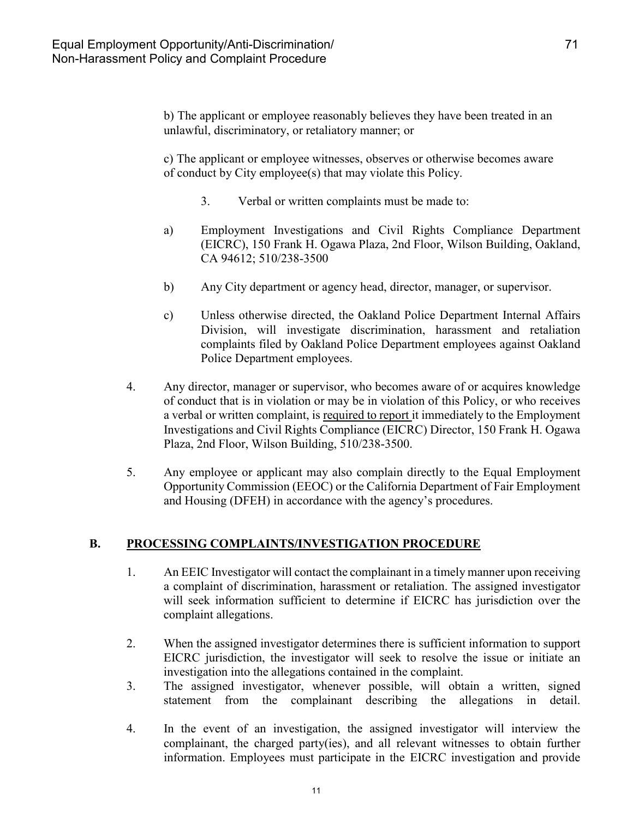b) The applicant or employee reasonably believes they have been treated in an unlawful, discriminatory, or retaliatory manner; or

c) The applicant or employee witnesses, observes or otherwise becomes aware of conduct by City employee(s) that may violate this Policy.

- 3. Verbal or written complaints must be made to:
- a) Employment Investigations and Civil Rights Compliance Department (EICRC), 150 Frank H. Ogawa Plaza, 2nd Floor, Wilson Building, Oakland, CA 94612; 510/238-3500
- b) Any City department or agency head, director, manager, or supervisor.
- c) Unless otherwise directed, the Oakland Police Department Internal Affairs Division, will investigate discrimination, harassment and retaliation complaints filed by Oakland Police Department employees against Oakland Police Department employees.
- 4. Any director, manager or supervisor, who becomes aware of or acquires knowledge of conduct that is in violation or may be in violation of this Policy, or who receives a verbal or written complaint, is required to report it immediately to the Employment Investigations and Civil Rights Compliance (EICRC) Director, 150 Frank H. Ogawa Plaza, 2nd Floor, Wilson Building, 510/238-3500.
- 5. Any employee or applicant may also complain directly to the Equal Employment Opportunity Commission (EEOC) or the California Department of Fair Employment and Housing (DFEH) in accordance with the agency's procedures.

#### **B. PROCESSING COMPLAINTS/INVESTIGATION PROCEDURE**

- 1. An EEIC Investigator will contact the complainant in a timely manner upon receiving a complaint of discrimination, harassment or retaliation. The assigned investigator will seek information sufficient to determine if EICRC has jurisdiction over the complaint allegations.
- 2. When the assigned investigator determines there is sufficient information to support EICRC jurisdiction, the investigator will seek to resolve the issue or initiate an investigation into the allegations contained in the complaint.
- 3. The assigned investigator, whenever possible, will obtain a written, signed statement from the complainant describing the allegations in detail.
- 4. In the event of an investigation, the assigned investigator will interview the complainant, the charged party(ies), and all relevant witnesses to obtain further information. Employees must participate in the EICRC investigation and provide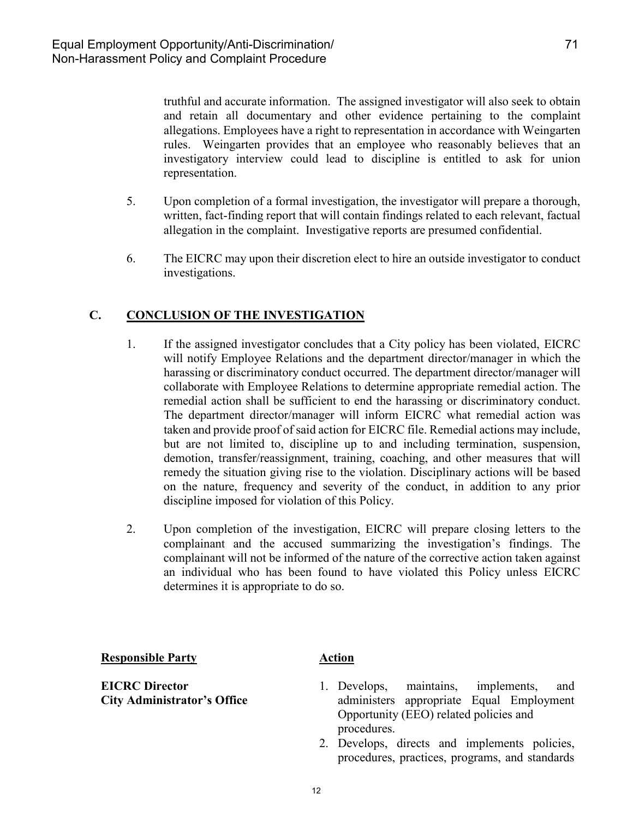truthful and accurate information. The assigned investigator will also seek to obtain and retain all documentary and other evidence pertaining to the complaint allegations. Employees have a right to representation in accordance with Weingarten rules. Weingarten provides that an employee who reasonably believes that an investigatory interview could lead to discipline is entitled to ask for union representation.

- 5. Upon completion of a formal investigation, the investigator will prepare a thorough, written, fact-finding report that will contain findings related to each relevant, factual allegation in the complaint. Investigative reports are presumed confidential.
- 6. The EICRC may upon their discretion elect to hire an outside investigator to conduct investigations.

### **C. CONCLUSION OF THE INVESTIGATION**

- 1. If the assigned investigator concludes that a City policy has been violated, EICRC will notify Employee Relations and the department director/manager in which the harassing or discriminatory conduct occurred. The department director/manager will collaborate with Employee Relations to determine appropriate remedial action. The remedial action shall be sufficient to end the harassing or discriminatory conduct. The department director/manager will inform EICRC what remedial action was taken and provide proof of said action for EICRC file. Remedial actions may include, but are not limited to, discipline up to and including termination, suspension, demotion, transfer/reassignment, training, coaching, and other measures that will remedy the situation giving rise to the violation. Disciplinary actions will be based on the nature, frequency and severity of the conduct, in addition to any prior discipline imposed for violation of this Policy.
- 2. Upon completion of the investigation, EICRC will prepare closing letters to the complainant and the accused summarizing the investigation's findings. The complainant will not be informed of the nature of the corrective action taken against an individual who has been found to have violated this Policy unless EICRC determines it is appropriate to do so.

#### **Responsible Party Action**

**EICRC Director City Administrator's Office**

- 1. Develops, maintains, implements, and administers appropriate Equal Employment Opportunity (EEO) related policies and procedures.
- 2. Develops, directs and implements policies, procedures, practices, programs, and standards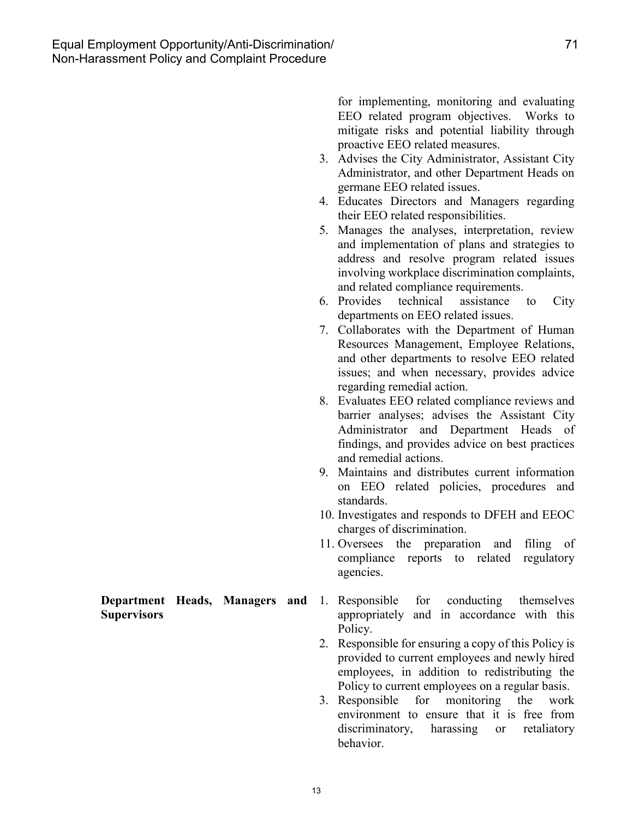for implementing, monitoring and evaluating EEO related program objectives. Works to mitigate risks and potential liability through proactive EEO related measures.

- 3. Advises the City Administrator, Assistant City Administrator, and other Department Heads on germane EEO related issues.
- 4. Educates Directors and Managers regarding their EEO related responsibilities.
- 5. Manages the analyses, interpretation, review and implementation of plans and strategies to address and resolve program related issues involving workplace discrimination complaints, and related compliance requirements.
- 6. Provides technical assistance to City departments on EEO related issues.
- 7. Collaborates with the Department of Human Resources Management, Employee Relations, and other departments to resolve EEO related issues; and when necessary, provides advice regarding remedial action.
- 8. Evaluates EEO related compliance reviews and barrier analyses; advises the Assistant City Administrator and Department Heads of findings, and provides advice on best practices and remedial actions.
- 9. Maintains and distributes current information on EEO related policies, procedures and standards.
- 10. Investigates and responds to DFEH and EEOC charges of discrimination.
- 11. Oversees the preparation and filing of compliance reports to related regulatory agencies.

#### **Department Heads, Managers and Supervisors**

- 1. Responsible for conducting themselves appropriately and in accordance with this Policy.
- 2. Responsible for ensuring a copy of this Policy is provided to current employees and newly hired employees, in addition to redistributing the Policy to current employees on a regular basis.
- 3. Responsible for monitoring the work environment to ensure that it is free from discriminatory, harassing or retaliatory behavior.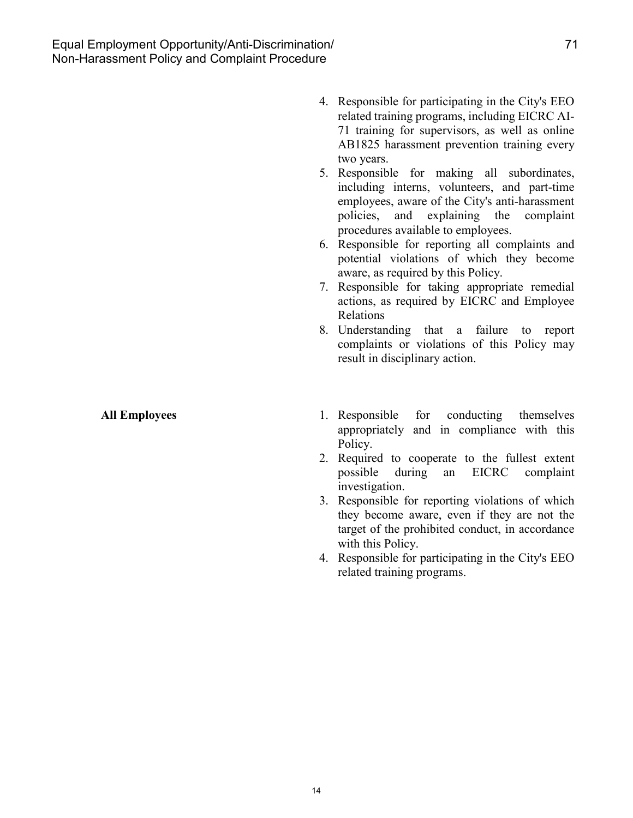4. Responsible for participating in the City's EEO related training programs, including EICRC AI-71 training for supervisors, as well as online AB1825 harassment prevention training every two years.

5. Responsible for making all subordinates, including interns, volunteers, and part-time employees, aware of the City's anti-harassment policies, and explaining the complaint procedures available to employees.

6. Responsible for reporting all complaints and potential violations of which they become aware, as required by this Policy.

7. Responsible for taking appropriate remedial actions, as required by EICRC and Employee Relations

8. Understanding that a failure to report complaints or violations of this Policy may result in disciplinary action.

- **All Employees** 1. Responsible for conducting themselves appropriately and in compliance with this Policy.
	- 2. Required to cooperate to the fullest extent possible during an EICRC complaint investigation.
	- 3. Responsible for reporting violations of which they become aware, even if they are not the target of the prohibited conduct, in accordance with this Policy.
	- 4. Responsible for participating in the City's EEO related training programs.